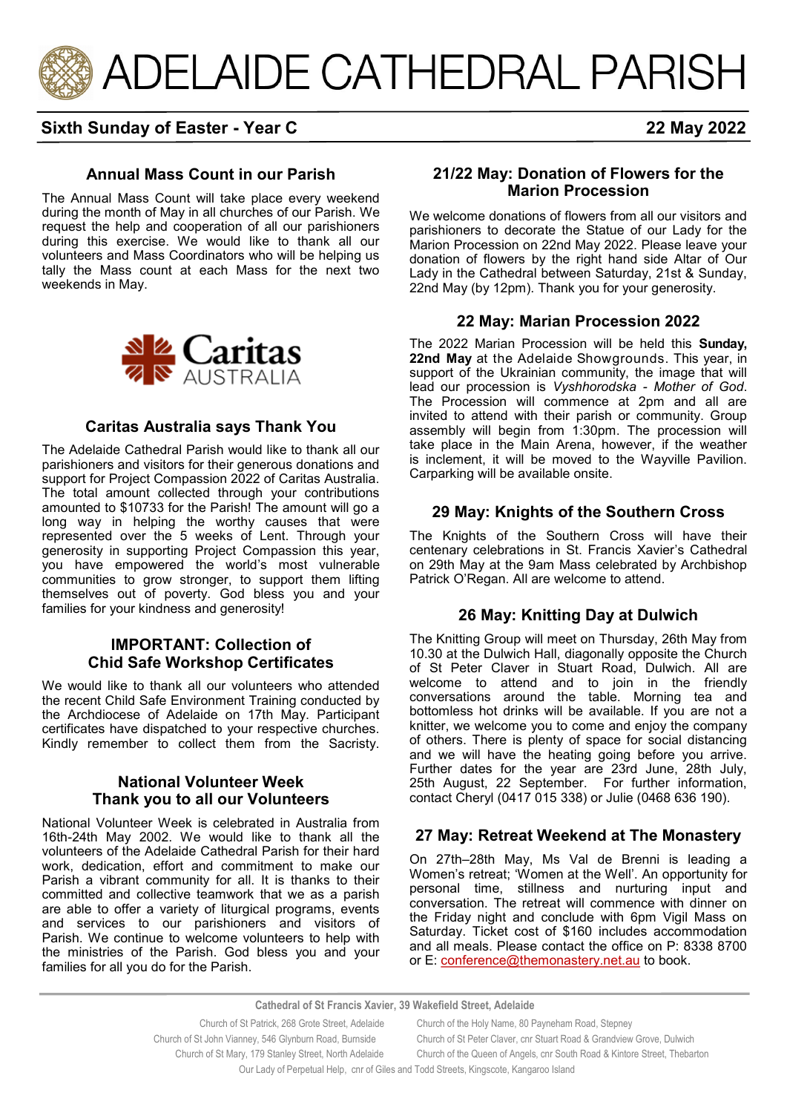

## **Sixth Sunday of Easter - Year C 22 May 2022**

### **Annual Mass Count in our Parish**

The Annual Mass Count will take place every weekend during the month of May in all churches of our Parish. We request the help and cooperation of all our parishioners during this exercise. We would like to thank all our volunteers and Mass Coordinators who will be helping us tally the Mass count at each Mass for the next two weekends in May.



### **Caritas Australia says Thank You**

The Adelaide Cathedral Parish would like to thank all our parishioners and visitors for their generous donations and support for Project Compassion 2022 of Caritas Australia. The total amount collected through your contributions amounted to \$10733 for the Parish! The amount will go a long way in helping the worthy causes that were represented over the 5 weeks of Lent. Through your generosity in supporting Project Compassion this year, you have empowered the world's most vulnerable communities to grow stronger, to support them lifting themselves out of poverty. God bless you and your families for your kindness and generosity!

### **IMPORTANT: Collection of Chid Safe Workshop Certificates**

We would like to thank all our volunteers who attended the recent Child Safe Environment Training conducted by the Archdiocese of Adelaide on 17th May. Participant certificates have dispatched to your respective churches. Kindly remember to collect them from the Sacristy.

### **National Volunteer Week Thank you to all our Volunteers**

National Volunteer Week is celebrated in Australia from 16th-24th May 2002. We would like to thank all the volunteers of the Adelaide Cathedral Parish for their hard work, dedication, effort and commitment to make our Parish a vibrant community for all. It is thanks to their committed and collective teamwork that we as a parish are able to offer a variety of liturgical programs, events and services to our parishioners and visitors of Parish. We continue to welcome volunteers to help with the ministries of the Parish. God bless you and your families for all you do for the Parish.

#### **21/22 May: Donation of Flowers for the Marion Procession**

We welcome donations of flowers from all our visitors and parishioners to decorate the Statue of our Lady for the Marion Procession on 22nd May 2022. Please leave your donation of flowers by the right hand side Altar of Our Lady in the Cathedral between Saturday, 21st & Sunday, 22nd May (by 12pm). Thank you for your generosity.

### **22 May: Marian Procession 2022**

The 2022 Marian Procession will be held this **Sunday, 22nd May** at the Adelaide Showgrounds. This year, in support of the Ukrainian community, the image that will lead our procession is *Vyshhorodska - Mother of God*. The Procession will commence at 2pm and all are invited to attend with their parish or community. Group assembly will begin from 1:30pm. The procession will take place in the Main Arena, however, if the weather is inclement, it will be moved to the Wayville Pavilion. Carparking will be available onsite.

### **29 May: Knights of the Southern Cross**

The Knights of the Southern Cross will have their centenary celebrations in St. Francis Xavier's Cathedral on 29th May at the 9am Mass celebrated by Archbishop Patrick O'Regan. All are welcome to attend.

### **26 May: Knitting Day at Dulwich**

The Knitting Group will meet on Thursday, 26th May from 10.30 at the Dulwich Hall, diagonally opposite the Church of St Peter Claver in Stuart Road, Dulwich. All are welcome to attend and to join in the friendly conversations around the table. Morning tea and bottomless hot drinks will be available. If you are not a knitter, we welcome you to come and enjoy the company of others. There is plenty of space for social distancing and we will have the heating going before you arrive. Further dates for the year are 23rd June, 28th July, 25th August, 22 September. For further information, contact Cheryl (0417 015 338) or Julie (0468 636 190).

### **27 May: Retreat Weekend at The Monastery**

On 27th–28th May, Ms Val de Brenni is leading a Women's retreat; 'Women at the Well'. An opportunity for personal time, stillness and nurturing input and conversation. The retreat will commence with dinner on the Friday night and conclude with 6pm Vigil Mass on Saturday. Ticket cost of \$160 includes accommodation and all meals. Please contact the office on P: 8338 8700 or E: **[conference@themonastery.net.au](mailto:conference@themonastery.net.au)** to book.

**Cathedral of St Francis Xavier, 39 Wakefield Street, Adelaide**

Church of St Patrick, 268 Grote Street, Adelaide Church of the Holy Name, 80 Payneham Road, Stepney Church of St John Vianney, 546 Glynburn Road, Burnside Church of St Peter Claver, cnr Stuart Road & Grandview Grove, Dulwich Church of St Mary, 179 Stanley Street, North Adelaide Church of the Queen of Angels, cnr South Road & Kintore Street, Thebarton Our Lady of Perpetual Help, cnr of Giles and Todd Streets, Kingscote, Kangaroo Island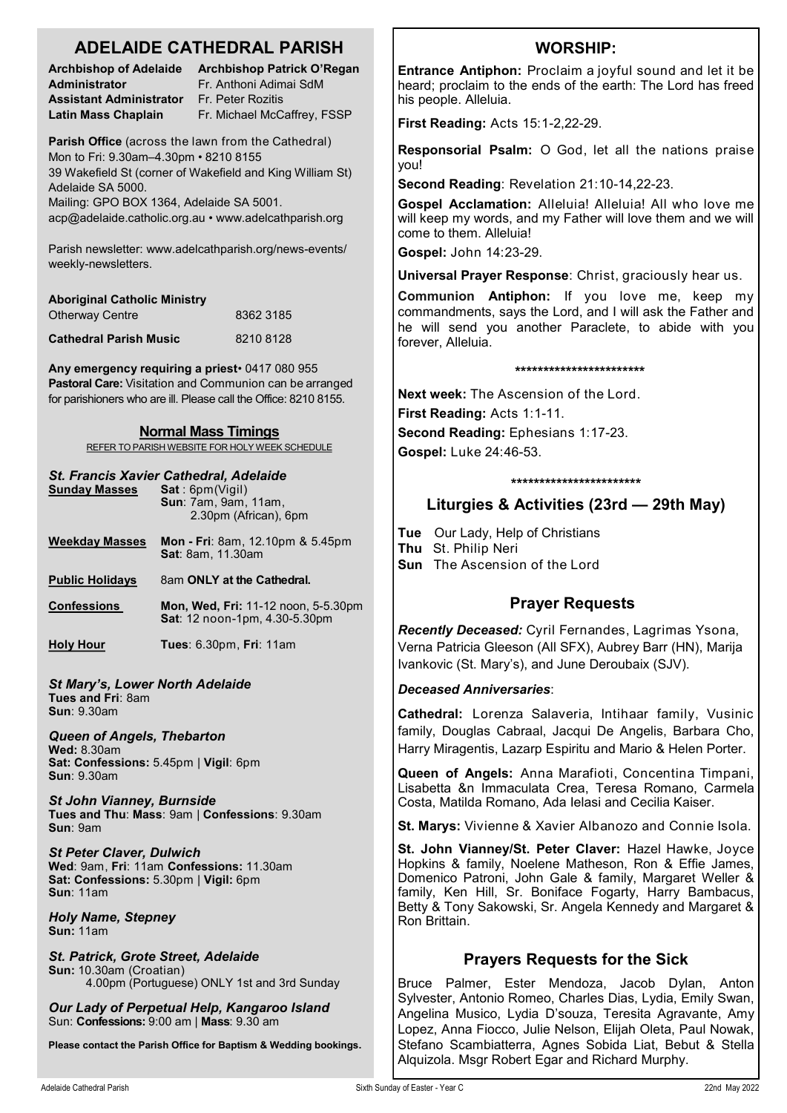| <b>ADELAIDE CATHEDRAL PARISH</b>                                                                                                                         |                                                                                                |                                                                                                  |      | <b>WORSHIP:</b>                                                                                                                                                                                                                                                                                   |  |
|----------------------------------------------------------------------------------------------------------------------------------------------------------|------------------------------------------------------------------------------------------------|--------------------------------------------------------------------------------------------------|------|---------------------------------------------------------------------------------------------------------------------------------------------------------------------------------------------------------------------------------------------------------------------------------------------------|--|
| <b>Administrator</b><br><b>Assistant Administrator</b>                                                                                                   |                                                                                                | Archbishop of Adelaide Archbishop Patrick O'Regan<br>Fr. Anthoni Adimai SdM<br>Fr. Peter Rozitis |      | Entrance Antiphon: Proclaim a joyful sound and let it be<br>heard; proclaim to the ends of the earth: The Lord has freed<br>his people. Alleluia.                                                                                                                                                 |  |
| <b>Latin Mass Chaplain</b>                                                                                                                               | Fr. Michael McCaffrey, FSSP                                                                    |                                                                                                  |      | First Reading: Acts 15:1-2,22-29.                                                                                                                                                                                                                                                                 |  |
| Parish Office (across the lawn from the Cathedral)<br>Mon to Fri: 9.30am-4.30pm · 8210 8155<br>39 Wakefield St (corner of Wakefield and King William St) |                                                                                                |                                                                                                  | you! | Responsorial Psalm: O God, let all the nations praise                                                                                                                                                                                                                                             |  |
| Adelaide SA 5000.                                                                                                                                        |                                                                                                |                                                                                                  |      | Second Reading: Revelation 21:10-14,22-23.                                                                                                                                                                                                                                                        |  |
| Mailing: GPO BOX 1364, Adelaide SA 5001.<br>acp@adelaide.catholic.org.au • www.adelcathparish.org                                                        |                                                                                                |                                                                                                  |      | Gospel Acclamation: Alleluia! Alleluia! All who love me<br>will keep my words, and my Father will love them and we will<br>come to them. Alleluia!                                                                                                                                                |  |
| Parish newsletter: www.adelcathparish.org/news-events/<br>weekly-newsletters.                                                                            |                                                                                                |                                                                                                  |      | Gospel: John 14:23-29.                                                                                                                                                                                                                                                                            |  |
|                                                                                                                                                          |                                                                                                |                                                                                                  |      | Universal Prayer Response: Christ, graciously hear us.                                                                                                                                                                                                                                            |  |
| <b>Otherway Centre</b>                                                                                                                                   | <b>Aboriginal Catholic Ministry</b><br>8362 3185<br><b>Cathedral Parish Music</b><br>8210 8128 |                                                                                                  |      | <b>Communion Antiphon:</b> If you love me, keep my<br>commandments, says the Lord, and I will ask the Father and<br>he will send you another Paraclete, to abide with you<br>forever, Alleluia.                                                                                                   |  |
|                                                                                                                                                          |                                                                                                |                                                                                                  |      |                                                                                                                                                                                                                                                                                                   |  |
| Any emergency requiring a priest 0417 080 955                                                                                                            |                                                                                                |                                                                                                  |      | ***********************                                                                                                                                                                                                                                                                           |  |
| Pastoral Care: Visitation and Communion can be arranged<br>for parishioners who are ill. Please call the Office: 8210 8155.                              |                                                                                                |                                                                                                  |      | <b>Next week:</b> The Ascension of the Lord.<br>First Reading: Acts 1:1-11.                                                                                                                                                                                                                       |  |
| <b>Normal Mass Timings</b><br>REFER TO PARISH WEBSITE FOR HOLY WEEK SCHEDULE                                                                             |                                                                                                |                                                                                                  |      | Second Reading: Ephesians 1:17-23.                                                                                                                                                                                                                                                                |  |
| St. Francis Xavier Cathedral, Adelaide<br><b>Sunday Masses</b><br>Sat: 6pm(Vigil)                                                                        |                                                                                                |                                                                                                  |      | Gospel: Luke 24:46-53.                                                                                                                                                                                                                                                                            |  |
|                                                                                                                                                          |                                                                                                |                                                                                                  |      | ***********************                                                                                                                                                                                                                                                                           |  |
|                                                                                                                                                          | Sun: 7am, 9am, 11am,<br>2.30pm (African), 6pm                                                  |                                                                                                  |      | Liturgies & Activities (23rd - 29th May)                                                                                                                                                                                                                                                          |  |
| <b>Weekday Masses</b>                                                                                                                                    |                                                                                                | Mon - Fri: 8am, 12.10pm & 5.45pm<br>Sat: 8am, 11.30am                                            |      | Tue Our Lady, Help of Christians<br>Thu St. Philip Neri<br>Sun The Ascension of the Lord                                                                                                                                                                                                          |  |
| <b>Public Holidays</b>                                                                                                                                   |                                                                                                | 8am ONLY at the Cathedral.                                                                       |      |                                                                                                                                                                                                                                                                                                   |  |
| <b>Confessions</b>                                                                                                                                       |                                                                                                | Mon, Wed, Fri: 11-12 noon, 5-5.30pm<br>Sat: 12 noon-1pm, 4.30-5.30pm                             |      | <b>Prayer Requests</b><br>Recently Deceased: Cyril Fernandes, Lagrimas Ysona,                                                                                                                                                                                                                     |  |
| <b>Holy Hour</b>                                                                                                                                         |                                                                                                | <b>Tues: 6.30pm, Fri: 11am</b>                                                                   |      | Verna Patricia Gleeson (All SFX), Aubrey Barr (HN), Marija<br>Ivankovic (St. Mary's), and June Deroubaix (SJV).                                                                                                                                                                                   |  |
| <b>St Mary's, Lower North Adelaide</b><br>Tues and Fri: 8am<br><b>Sun: 9.30am</b>                                                                        |                                                                                                |                                                                                                  |      | <b>Deceased Anniversaries:</b>                                                                                                                                                                                                                                                                    |  |
|                                                                                                                                                          |                                                                                                |                                                                                                  |      | Cathedral: Lorenza Salaveria, Intihaar family, Vusinic<br>family, Douglas Cabraal, Jacqui De Angelis, Barbara Cho,<br>Harry Miragentis, Lazarp Espiritu and Mario & Helen Porter.                                                                                                                 |  |
| <b>Queen of Angels, Thebarton</b><br><b>Wed: 8.30am</b><br>Sat: Confessions: 5.45pm   Vigil: 6pm                                                         |                                                                                                |                                                                                                  |      |                                                                                                                                                                                                                                                                                                   |  |
| <b>Sun: 9.30am</b><br><b>St John Vianney, Burnside</b>                                                                                                   |                                                                                                |                                                                                                  |      | Queen of Angels: Anna Marafioti, Concentina Timpani,<br>Lisabetta &n Immaculata Crea, Teresa Romano, Carmela                                                                                                                                                                                      |  |
| Tues and Thu: Mass: 9am   Confessions: 9.30am<br>Sun: 9am                                                                                                |                                                                                                |                                                                                                  |      | Costa, Matilda Romano, Ada Ielasi and Cecilia Kaiser.<br>St. Marys: Vivienne & Xavier Albanozo and Connie Isola.                                                                                                                                                                                  |  |
| <b>St Peter Claver, Dulwich</b><br>Wed: 9am, Fri: 11am Confessions: 11.30am<br>Sat: Confessions: 5.30pm   Vigil: 6pm<br>Sun: 11am                        |                                                                                                |                                                                                                  |      | St. John Vianney/St. Peter Claver: Hazel Hawke, Joyce<br>Hopkins & family, Noelene Matheson, Ron & Effie James,<br>Domenico Patroni, John Gale & family, Margaret Weller &<br>family, Ken Hill, Sr. Boniface Fogarty, Harry Bambacus,<br>Betty & Tony Sakowski, Sr. Angela Kennedy and Margaret & |  |
| <b>Holy Name, Stepney</b><br><b>Sun: 11am</b>                                                                                                            |                                                                                                |                                                                                                  |      | Ron Brittain.                                                                                                                                                                                                                                                                                     |  |
| St. Patrick, Grote Street, Adelaide<br>Sun: 10.30am (Croatian)<br>4.00pm (Portuguese) ONLY 1st and 3rd Sunday                                            |                                                                                                |                                                                                                  |      | <b>Prayers Requests for the Sick</b><br>Bruce Palmer, Ester Mendoza, Jacob Dylan, Anton                                                                                                                                                                                                           |  |
| Our Lady of Perpetual Help, Kangaroo Island<br>Sun: Confessions: 9:00 am   Mass: 9.30 am                                                                 |                                                                                                |                                                                                                  |      | Sylvester, Antonio Romeo, Charles Dias, Lydia, Emily Swan,<br>Angelina Musico, Lydia D'souza, Teresita Agravante, Amy<br>Lopez, Anna Fiocco, Julie Nelson, Elijah Oleta, Paul Nowak,                                                                                                              |  |

**Please contact the Parish Office for Baptism & Wedding bookings.**

Stefano Scambiatterra, Agnes Sobida Liat, Bebut & Stella

Alquizola. Msgr Robert Egar and Richard Murphy.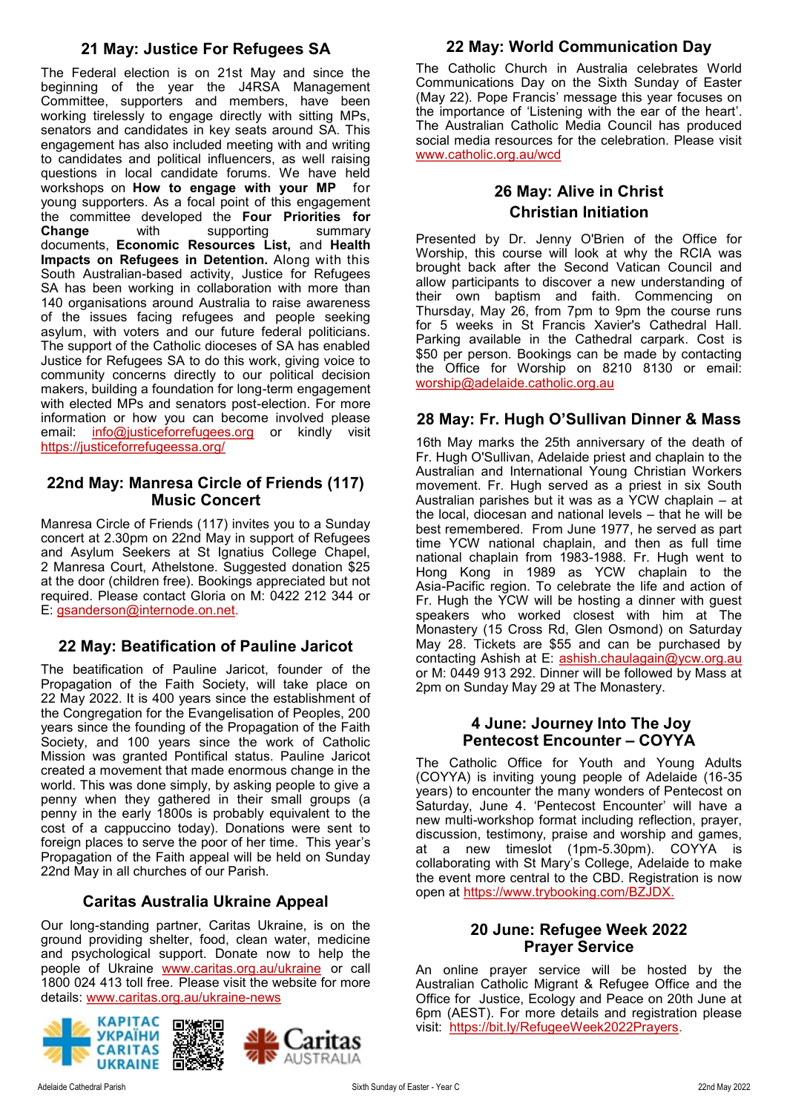# **21 May: Justice For Refugees SA**

The Federal election is on 21st May and since the beginning of the year the J4RSA Management Committee, supporters and members, have been working tirelessly to engage directly with sitting MPs, senators and candidates in key seats around SA. This engagement has also included meeting with and writing to candidates and political influencers, as well raising questions in local candidate forums. We have held workshops on **[How to engage with your MP](https://justiceforrefugeessa.org/wp-content/uploads/How-To-Meet-With-Your-local-MP.pdf)** for young supporters. As a focal point of this engagement the committee developed the **[Four Priorities for](https://justiceforrefugeessa.org/wp-content/uploads/J4RSA-Briefing-on-Priorities-2022-.pdf)  [Change](https://justiceforrefugeessa.org/wp-content/uploads/J4RSA-Briefing-on-Priorities-2022-.pdf)** with supporting summary documents, **[Economic Resources List,](https://justiceforrefugeessa.org/wp-content/uploads/J4RSA-Economic-Resource-list-.pdf)** and **[Health](https://justiceforrefugeessa.org/wp-content/uploads/J4RSA-SUMMARY-Health-Impacts-of-Refugee-Detention.pdf)  [Impacts on Refugees in Detention.](https://justiceforrefugeessa.org/wp-content/uploads/J4RSA-SUMMARY-Health-Impacts-of-Refugee-Detention.pdf)** Along with this South Australian-based activity, Justice for Refugees SA has been working in collaboration with more than 140 organisations around Australia to raise awareness of the issues facing refugees and people seeking asylum, with voters and our future federal politicians. The support of the Catholic dioceses of SA has enabled Justice for Refugees SA to do this work, giving voice to community concerns directly to our political decision makers, building a foundation for long-term engagement with elected MPs and senators post-election. For more information or how you can become involved please email: [info@justiceforrefugees.org](mailto:info@justiceforrefugees.org) or kindly visit <https://justiceforrefugeessa.org/>

### **22nd May: Manresa Circle of Friends (117) Music Concert**

Manresa Circle of Friends (117) invites you to a Sunday concert at 2.30pm on 22nd May in support of Refugees and Asylum Seekers at St Ignatius College Chapel, 2 Manresa Court, Athelstone. Suggested donation \$25 at the door (children free). Bookings appreciated but not required. Please contact Gloria on M: 0422 212 344 or E: [gsanderson@internode.on.net.](mailto:gsanderson@internode.on.net) 

## **22 May: Beatification of Pauline Jaricot**

The beatification of Pauline Jaricot, founder of the Propagation of the Faith Society, will take place on 22 May 2022. It is 400 years since the establishment of the Congregation for the Evangelisation of Peoples, 200 years since the founding of the Propagation of the Faith Society, and 100 years since the work of Catholic Mission was granted Pontifical status. Pauline Jaricot created a movement that made enormous change in the world. This was done simply, by asking people to give a penny when they gathered in their small groups (a penny in the early 1800s is probably equivalent to the cost of a cappuccino today). Donations were sent to foreign places to serve the poor of her time. This year's Propagation of the Faith appeal will be held on Sunday 22nd May in all churches of our Parish.

# **Caritas Australia Ukraine Appeal**

Our long-standing partner, Caritas Ukraine, is on the ground providing shelter, food, clean water, medicine and psychological support. Donate now to help the people of Ukraine [www.caritas.org.au/ukraine](https://aus01.safelinks.protection.outlook.com/?url=http%3A%2F%2Fwww.caritas.org.au%2Fukraine&data=04%7C01%7CCco-Reception%40adelaide.catholic.org.au%7Cfc58bf7f33d340f2ee9b08da07b447d1%7Cfe51d108d61d407cbcaaaab5af82a7ac%7C1%7C0%7C637830768121954887%7CUnknown%) or call 1800 024 413 toll free. Please visit the website for more details: [www.caritas.org.au/ukraine](https://aus01.safelinks.protection.outlook.com/?url=http%3A%2F%2Fwww.caritas.org.au%2Fukraine-news&data=04%7C01%7CCco-Reception%40adelaide.catholic.org.au%7Cfc58bf7f33d340f2ee9b08da07b447d1%7Cfe51d108d61d407cbcaaaab5af82a7ac%7C1%7C0%7C637830768121954887%7CUnk)-news



# **22 May: World Communication Day**

The Catholic Church in Australia celebrates World Communications Day on the Sixth Sunday of Easter (May 22). Pope Francis' message this year focuses on the importance of 'Listening with the ear of the heart'. The Australian Catholic Media Council has produced social media resources for the celebration. Please visit [www.catholic.org.au/wcd](World%20Communication%20Day)

# **26 May: Alive in Christ Christian Initiation**

Presented by Dr. Jenny O'Brien of the Office for Worship, this course will look at why the RCIA was brought back after the Second Vatican Council and allow participants to discover a new understanding of their own baptism and faith. Commencing on Thursday, May 26, from 7pm to 9pm the course runs for 5 weeks in St Francis Xavier's Cathedral Hall. Parking available in the Cathedral carpark. Cost is \$50 per person. Bookings can be made by contacting the Office for Worship on 8210 8130 or email: [worship@adelaide.catholic.org.au](mailto:worship@adelaide.catholic.org.au)

## **28 May: Fr. Hugh O'Sullivan Dinner & Mass**

16th May marks the 25th anniversary of the death of Fr. Hugh O'Sullivan, Adelaide priest and chaplain to the Australian and International Young Christian Workers movement. Fr. Hugh served as a priest in six South Australian parishes but it was as a YCW chaplain – at the local, diocesan and national levels – that he will be best remembered. From June 1977, he served as part time YCW national chaplain, and then as full time national chaplain from 1983-1988. Fr. Hugh went to Hong Kong in 1989 as YCW chaplain to the Asia-Pacific region. To celebrate the life and action of Fr. Hugh the YCW will be hosting a dinner with guest speakers who worked closest with him at The Monastery (15 Cross Rd, Glen Osmond) on Saturday May 28. Tickets are \$55 and can be purchased by contacting Ashish at E: [ashish.chaulagain@ycw.org.au](mailto:ashish.chaulagain@ycw.org.au) or M: 0449 913 292. Dinner will be followed by Mass at 2pm on Sunday May 29 at The Monastery.

### **4 June: Journey Into The Joy Pentecost Encounter – COYYA**

The Catholic Office for Youth and Young Adults (COYYA) is inviting young people of Adelaide (16-35 years) to encounter the many wonders of Pentecost on Saturday, June 4. 'Pentecost Encounter' will have a new multi-workshop format including reflection, prayer, discussion, testimony, praise and worship and games, at a new timeslot (1pm-5.30pm). COYYA is collaborating with St Mary's College, Adelaide to make the event more central to the CBD. Registration is now open at [https://www.trybooking.com/BZJDX.](https://aus01.safelinks.protection.outlook.com/?url=https%3A%2F%2Fwww.trybooking.com%2FBZJDX&data=05%7C01%7CCco-Reception%40adelaide.catholic.org.au%7C3768892bd32343fd910608da314fec66%7Cfe51d108d61d407cbcaaaab5af82a7ac%7C1%7C0%7C637876516609261073%7CUnknown%7)

### **20 June: Refugee Week 2022 Prayer Service**

An online prayer service will be hosted by the Australian Catholic Migrant & Refugee Office and the Office for Justice, Ecology and Peace on 20th June at 6pm (AEST). For more details and registration please visit: [https://bit.ly/RefugeeWeek2022Prayers.](https://bit.ly/RefugeeWeek2022Prayers)

AUSTRALIA